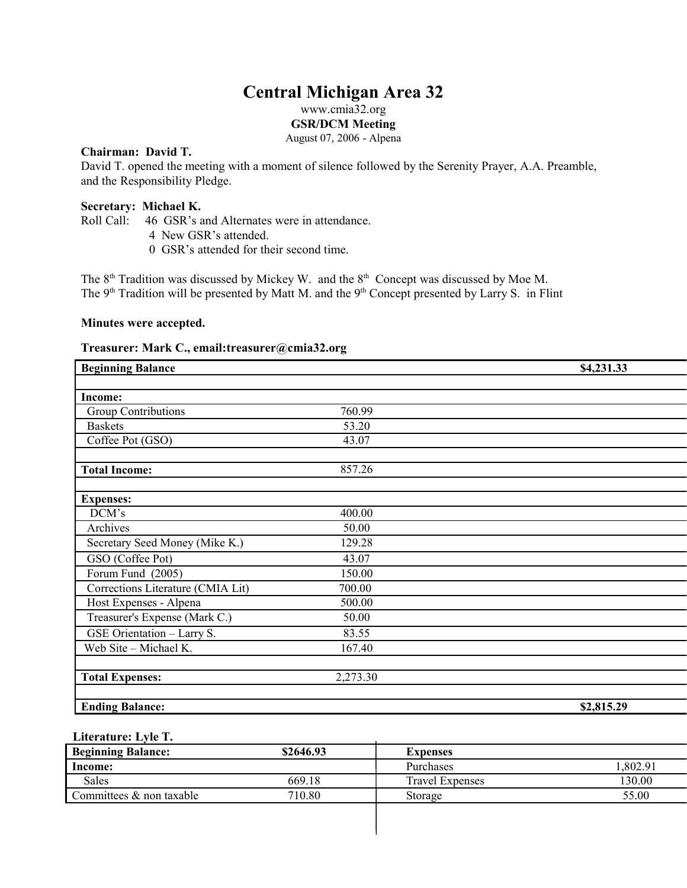# **Central Michigan Area 32**

www.cmia32.org

**GSR/DCM Meeting**

August 07, 2006 - Alpena

# **Chairman: David T.**

David T. opened the meeting with a moment of silence followed by the Serenity Prayer, A.A. Preamble, and the Responsibility Pledge.

## **Secretary: Michael K.**

Roll Call: 46 GSR's and Alternates were in attendance.

- 4 New GSR's attended.
- 0 GSR's attended for their second time.

The  $8<sup>th</sup>$  Tradition was discussed by Mickey W. and the  $8<sup>th</sup>$  Concept was discussed by Moe M. The  $9<sup>th</sup>$  Tradition will be presented by Matt M. and the  $9<sup>th</sup>$  Concept presented by Larry S. in Flint

### **Minutes were accepted.**

# **Treasurer: Mark C., email:treasurer@cmia32.org**

| <b>Beginning Balance</b>          |          | \$4,231.33 |
|-----------------------------------|----------|------------|
|                                   |          |            |
| <b>Income:</b>                    |          |            |
| <b>Group Contributions</b>        | 760.99   |            |
| <b>Baskets</b>                    | 53.20    |            |
| Coffee Pot (GSO)                  | 43.07    |            |
| <b>Total Income:</b>              | 857.26   |            |
| <b>Expenses:</b>                  |          |            |
| DCM's                             | 400.00   |            |
| Archives                          | 50.00    |            |
| Secretary Seed Money (Mike K.)    | 129.28   |            |
| GSO (Coffee Pot)                  | 43.07    |            |
| Forum Fund (2005)                 | 150.00   |            |
| Corrections Literature (CMIA Lit) | 700.00   |            |
| Host Expenses - Alpena            | 500.00   |            |
| Treasurer's Expense (Mark C.)     | 50.00    |            |
| GSE Orientation - Larry S.        | 83.55    |            |
| Web Site - Michael K.             | 167.40   |            |
| <b>Total Expenses:</b>            | 2,273.30 |            |
| <b>Ending Balance:</b>            |          | \$2,815.29 |

# **Literature: Lyle T.**

| <b>Beginning Balance:</b>   | \$2646.93 | Expenses               |         |
|-----------------------------|-----------|------------------------|---------|
| Income:                     |           | Purchases              | .802.91 |
| <b>Sales</b>                | 669.18    | <b>Travel Expenses</b> | 130.00  |
| Committees $\&$ non taxable | 710.80    | Storage                | 55.00   |
|                             |           |                        |         |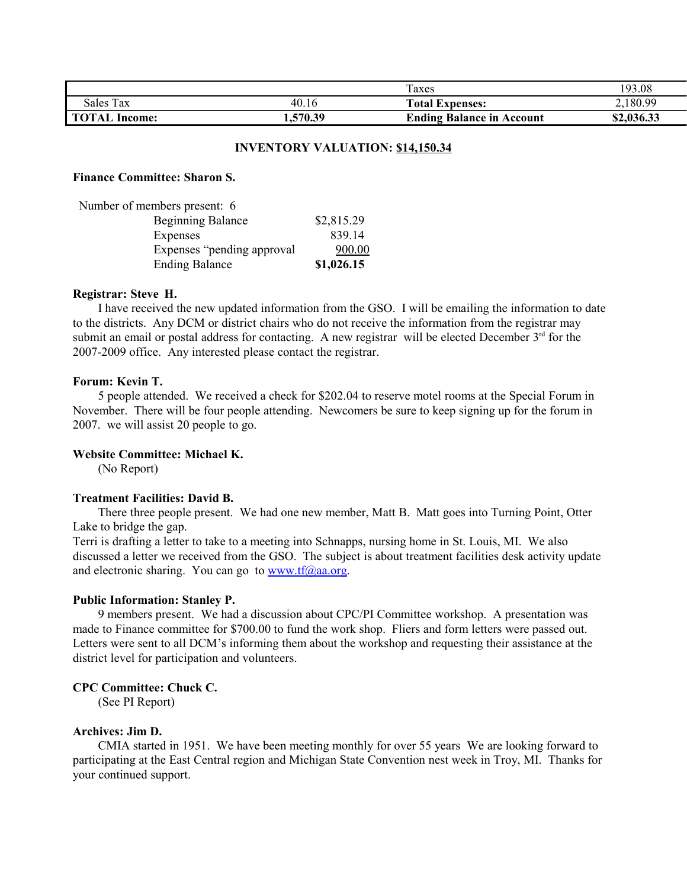|                         |             | l'axes                           | 193.08     |
|-------------------------|-------------|----------------------------------|------------|
| Sales Tax               | 40.16       | <b>Total Expenses:</b>           | 2.180.99   |
| <b>TOTAL</b><br>Income: | 570.39<br>. | <b>Ending Balance in Account</b> | \$2,036.33 |

#### **INVENTORY VALUATION: \$14,150.34**

#### **Finance Committee: Sharon S.**

| Number of members present: 6 |            |
|------------------------------|------------|
| <b>Beginning Balance</b>     | \$2,815.29 |
| Expenses                     | 839 14     |
| Expenses "pending approval"  | 900.00     |
| <b>Ending Balance</b>        | \$1,026.15 |

#### **Registrar: Steve H.**

I have received the new updated information from the GSO. I will be emailing the information to date to the districts. Any DCM or district chairs who do not receive the information from the registrar may submit an email or postal address for contacting. A new registrar will be elected December 3<sup>rd</sup> for the 2007-2009 office. Any interested please contact the registrar.

#### **Forum: Kevin T.**

5 people attended. We received a check for \$202.04 to reserve motel rooms at the Special Forum in November. There will be four people attending. Newcomers be sure to keep signing up for the forum in 2007. we will assist 20 people to go.

#### **Website Committee: Michael K.**

(No Report)

#### **Treatment Facilities: David B.**

There three people present. We had one new member, Matt B. Matt goes into Turning Point, Otter Lake to bridge the gap.

Terri is drafting a letter to take to a meeting into Schnapps, nursing home in St. Louis, MI. We also discussed a letter we received from the GSO. The subject is about treatment facilities desk activity update and electronic sharing. You can go to www.tf $@aa.org$ .

#### **Public Information: Stanley P.**

9 members present. We had a discussion about CPC/PI Committee workshop. A presentation was made to Finance committee for \$700.00 to fund the work shop. Fliers and form letters were passed out. Letters were sent to all DCM's informing them about the workshop and requesting their assistance at the district level for participation and volunteers.

#### **CPC Committee: Chuck C.**

(See PI Report)

#### **Archives: Jim D.**

CMIA started in 1951. We have been meeting monthly for over 55 years We are looking forward to participating at the East Central region and Michigan State Convention nest week in Troy, MI. Thanks for your continued support.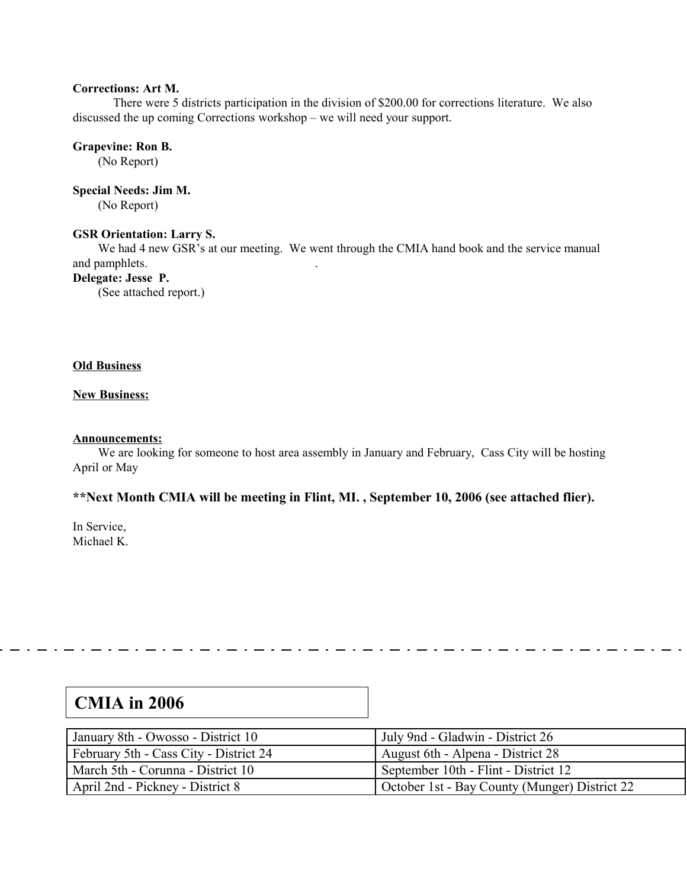### **Corrections: Art M.**

There were 5 districts participation in the division of \$200.00 for corrections literature. We also discussed the up coming Corrections workshop – we will need your support.

**Grapevine: Ron B.** (No Report)

**Special Needs: Jim M.**

(No Report)

# **GSR Orientation: Larry S.**

We had 4 new GSR's at our meeting. We went through the CMIA hand book and the service manual and pamphlets. .

# **Delegate: Jesse P.**

(See attached report.)

## **Old Business**

## **New Business:**

## **Announcements:**

We are looking for someone to host area assembly in January and February, Cass City will be hosting April or May

# **\*\*Next Month CMIA will be meeting in Flint, MI. , September 10, 2006 (see attached flier).**

In Service, Michael K.

| January 8th - Owosso - District 10     | July 9nd - Gladwin - District 26              |
|----------------------------------------|-----------------------------------------------|
| February 5th - Cass City - District 24 | August 6th - Alpena - District 28             |
| March 5th - Corunna - District 10      | September 10th - Flint - District 12          |
| April 2nd - Pickney - District 8       | October 1st - Bay County (Munger) District 22 |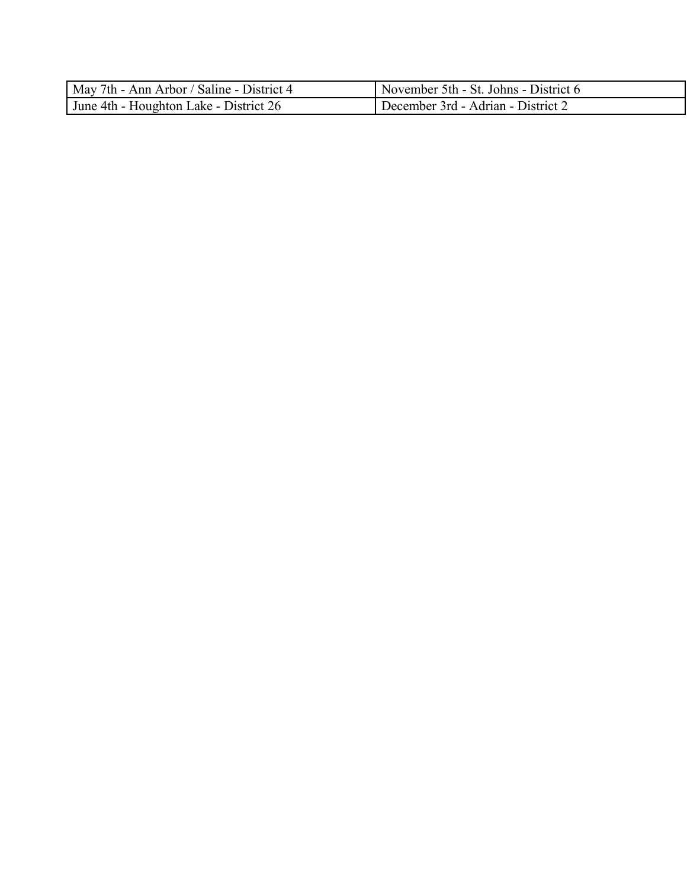| May 7th - Ann Arbor / Saline - District 4 | November 5th - St. Johns - District 6 |
|-------------------------------------------|---------------------------------------|
| June 4th - Houghton Lake - District 26    | December 3rd - Adrian - District 2    |